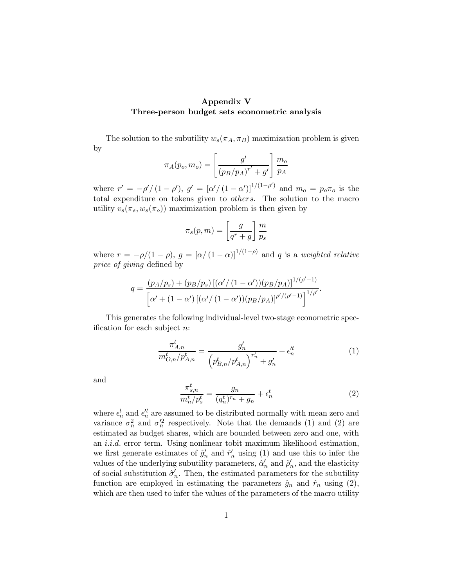## Appendix V Three-person budget sets econometric analysis

The solution to the subutility  $w_s(\pi_A, \pi_B)$  maximization problem is given by

$$
\pi_A(p_o, m_o) = \left[\frac{g'}{(p_B/p_A)^{r'} + g'}\right] \frac{m_o}{p_A}
$$

where  $r' = -\frac{\rho'}{(1 - \rho')}$ ,  $g' = [\alpha' / (1 - \alpha')]^{1/(1 - \rho')}$  and  $m_o = p_o \pi_o$  is the total expenditure on tokens given to *others*. The solution to the macro utility  $v_s(\pi_s, w_s(\pi_o))$  maximization problem is then given by

$$
\pi_s(p,m) = \left[\frac{g}{q^r + g}\right] \frac{m}{p_s}
$$

where  $r = -\rho/(1 - \rho)$ ,  $g = [\alpha/(1 - \alpha)]^{1/(1 - \rho)}$  and q is a weighted relative price of giving defined by

$$
q = \frac{(p_A/p_s) + (p_B/p_s) [(\alpha'/(1-\alpha'))(p_B/p_A)]^{1/(\rho'-1)}}{[\alpha' + (1-\alpha')[(\alpha'/(1-\alpha'))(p_B/p_A)]^{\rho' / (\rho'-1)}}\Big]^{1/\rho'}.
$$

This generates the following individual-level two-stage econometric specification for each subject n:

$$
\frac{\pi_{A,n}^t}{m_{O,n}^t/p_{A,n}^t} = \frac{g'_n}{\left(p_{B,n}^t/p_{A,n}^t\right)^{r'_n} + g'_n} + \epsilon_n^{lt} \tag{1}
$$

and

$$
\frac{\pi_{s,n}^t}{m_n^t/p_s^t} = \frac{g_n}{(q_n^t)^{r_n} + g_n} + \epsilon_n^t
$$
\n<sup>(2)</sup>

where  $\epsilon_n^t$  and  $\epsilon_n^{\prime t}$  are assumed to be distributed normally with mean zero and variance  $\sigma_n^2$  and  $\sigma_n^2$  respectively. Note that the demands (1) and (2) are estimated as budget shares, which are bounded between zero and one, with an i.i.d. error term. Using nonlinear tobit maximum likelihood estimation, we first generate estimates of  $\hat{g}'_n$  and  $\hat{r}'_n$  using (1) and use this to infer the values of the underlying subutility parameters,  $\hat{\alpha}'_n$  and  $\hat{\rho}'_n$ , and the elasticity of social substitution  $\hat{\sigma}'_n$ . Then, the estimated parameters for the subutility function are employed in estimating the parameters  $\hat{g}_n$  and  $\hat{r}_n$  using (2), which are then used to infer the values of the parameters of the macro utility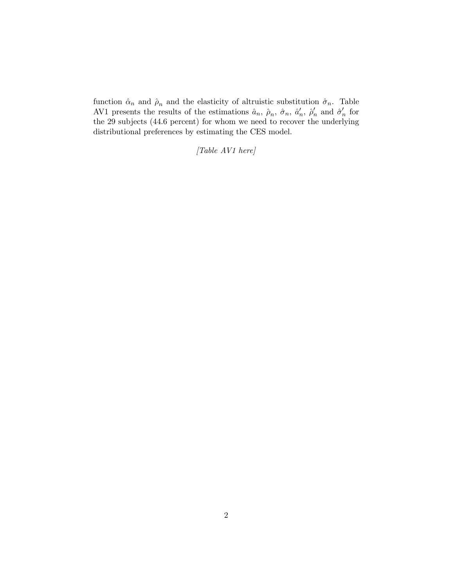function  $\hat{\alpha}_n$  and  $\hat{\rho}_n$  and the elasticity of altruistic substitution  $\hat{\sigma}_n$ . Table AV1 presents the results of the estimations  $\hat{a}_n$ ,  $\hat{\rho}_n$ ,  $\hat{\sigma}_n$ ,  $\hat{a}'_n$ ,  $\hat{\rho}'_n$  and  $\hat{\sigma}'_n$  for the 29 subjects (44.6 percent) for whom we need to recover the underlying distributional preferences by estimating the CES model.

[Table AV1 here]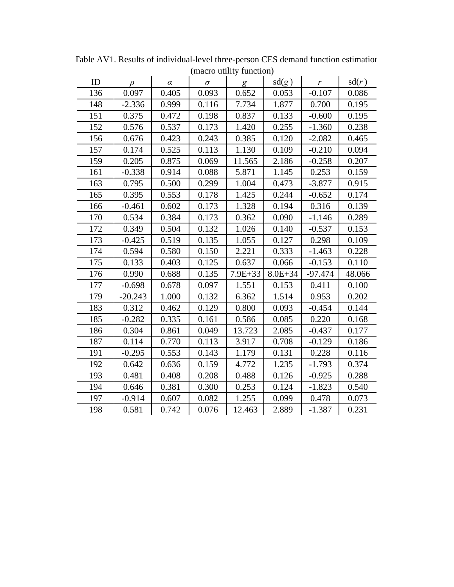| ID  | D         | $\alpha$ | $\sigma$ | g           | sd(g)       | $\boldsymbol{r}$ | sd(r)  |
|-----|-----------|----------|----------|-------------|-------------|------------------|--------|
| 136 | 0.097     | 0.405    | 0.093    | 0.652       | 0.053       | $-0.107$         | 0.086  |
| 148 | $-2.336$  | 0.999    | 0.116    | 7.734       | 1.877       | 0.700            | 0.195  |
| 151 | 0.375     | 0.472    | 0.198    | 0.837       | 0.133       | $-0.600$         | 0.195  |
| 152 | 0.576     | 0.537    | 0.173    | 1.420       | 0.255       | $-1.360$         | 0.238  |
| 156 | 0.676     | 0.423    | 0.243    | 0.385       | 0.120       | $-2.082$         | 0.465  |
| 157 | 0.174     | 0.525    | 0.113    | 1.130       | 0.109       | $-0.210$         | 0.094  |
| 159 | 0.205     | 0.875    | 0.069    | 11.565      | 2.186       | $-0.258$         | 0.207  |
| 161 | $-0.338$  | 0.914    | 0.088    | 5.871       | 1.145       | 0.253            | 0.159  |
| 163 | 0.795     | 0.500    | 0.299    | 1.004       | 0.473       | $-3.877$         | 0.915  |
| 165 | 0.395     | 0.553    | 0.178    | 1.425       | 0.244       | $-0.652$         | 0.174  |
| 166 | $-0.461$  | 0.602    | 0.173    | 1.328       | 0.194       | 0.316            | 0.139  |
| 170 | 0.534     | 0.384    | 0.173    | 0.362       | 0.090       | $-1.146$         | 0.289  |
| 172 | 0.349     | 0.504    | 0.132    | 1.026       | 0.140       | $-0.537$         | 0.153  |
| 173 | $-0.425$  | 0.519    | 0.135    | 1.055       | 0.127       | 0.298            | 0.109  |
| 174 | 0.594     | 0.580    | 0.150    | 2.221       | 0.333       | $-1.463$         | 0.228  |
| 175 | 0.133     | 0.403    | 0.125    | 0.637       | 0.066       | $-0.153$         | 0.110  |
| 176 | 0.990     | 0.688    | 0.135    | $7.9E + 33$ | $8.0E + 34$ | $-97.474$        | 48.066 |
| 177 | $-0.698$  | 0.678    | 0.097    | 1.551       | 0.153       | 0.411            | 0.100  |
| 179 | $-20.243$ | 1.000    | 0.132    | 6.362       | 1.514       | 0.953            | 0.202  |
| 183 | 0.312     | 0.462    | 0.129    | 0.800       | 0.093       | $-0.454$         | 0.144  |
| 185 | $-0.282$  | 0.335    | 0.161    | 0.586       | 0.085       | 0.220            | 0.168  |
| 186 | 0.304     | 0.861    | 0.049    | 13.723      | 2.085       | $-0.437$         | 0.177  |
| 187 | 0.114     | 0.770    | 0.113    | 3.917       | 0.708       | $-0.129$         | 0.186  |
| 191 | $-0.295$  | 0.553    | 0.143    | 1.179       | 0.131       | 0.228            | 0.116  |
| 192 | 0.642     | 0.636    | 0.159    | 4.772       | 1.235       | $-1.793$         | 0.374  |
| 193 | 0.481     | 0.408    | 0.208    | 0.488       | 0.126       | $-0.925$         | 0.288  |
| 194 | 0.646     | 0.381    | 0.300    | 0.253       | 0.124       | $-1.823$         | 0.540  |
| 197 | $-0.914$  | 0.607    | 0.082    | 1.255       | 0.099       | 0.478            | 0.073  |
| 198 | 0.581     | 0.742    | 0.076    | 12.463      | 2.889       | $-1.387$         | 0.231  |

(macro utility function) Table AV1. Results of individual-level three-person CES demand function estimation